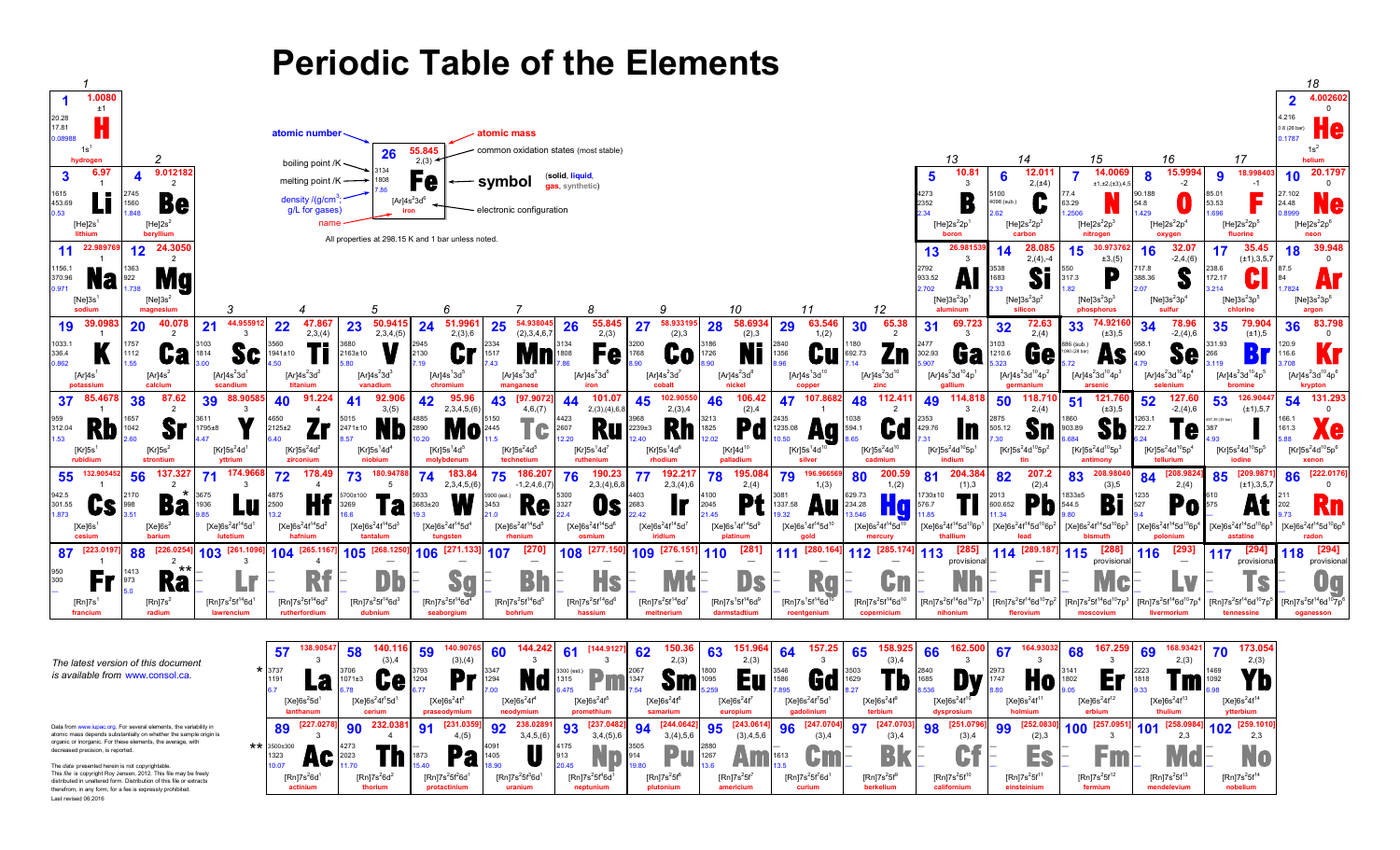



## **Periodic Table of the Elements**

*is available from* [www.consol.ca](http://www.consol.ca)*.*

atomic mass depends substantially on whether the sample origin is organic or inorganic. For these elements, the average, with decreased precision, is reported.

Last revised 06.2016 The *data* presented herein is not copyrightable. This *file* is copyright Roy Jensen, 2012. This file may be freely distributed in unaltered form. Distribution of this file or extracts therefrom, in any form, for a fee is expressly prohibited.